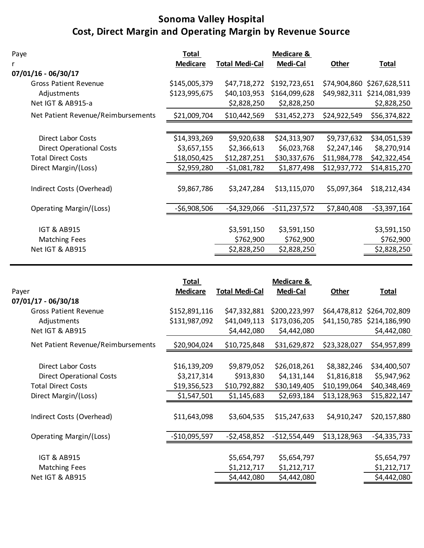## **Cost, Direct Margin and Operating Margin by Revenue Source Sonoma Valley Hospital**

| Paye                               | <b>Total</b>    |                       | <b>Medicare &amp;</b> |              |               |
|------------------------------------|-----------------|-----------------------|-----------------------|--------------|---------------|
| r                                  | <b>Medicare</b> | <b>Total Medi-Cal</b> | Medi-Cal              | <b>Other</b> | <b>Total</b>  |
| 07/01/16 - 06/30/17                |                 |                       |                       |              |               |
| <b>Gross Patient Revenue</b>       | \$145,005,379   | \$47,718,272          | \$192,723,651         | \$74,904,860 | \$267,628,511 |
| Adjustments                        | \$123,995,675   | \$40,103,953          | \$164,099,628         | \$49,982,311 | \$214,081,939 |
| Net IGT & AB915-a                  |                 | \$2,828,250           | \$2,828,250           |              | \$2,828,250   |
| Net Patient Revenue/Reimbursements | \$21,009,704    | \$10,442,569          | \$31,452,273          | \$24,922,549 | \$56,374,822  |
|                                    |                 |                       |                       |              |               |
| <b>Direct Labor Costs</b>          | \$14,393,269    | \$9,920,638           | \$24,313,907          | \$9,737,632  | \$34,051,539  |
| <b>Direct Operational Costs</b>    | \$3,657,155     | \$2,366,613           | \$6,023,768           | \$2,247,146  | \$8,270,914   |
| <b>Total Direct Costs</b>          | \$18,050,425    | \$12,287,251          | \$30,337,676          | \$11,984,778 | \$42,322,454  |
| Direct Margin/(Loss)               | \$2,959,280     | $-51,081,782$         | \$1,877,498           | \$12,937,772 | \$14,815,270  |
|                                    |                 |                       |                       |              |               |
| Indirect Costs (Overhead)          | \$9,867,786     | \$3,247,284           | \$13,115,070          | \$5,097,364  | \$18,212,434  |
|                                    |                 |                       |                       |              |               |
| Operating Margin/(Loss)            | $-$6,908,506$   | $-54,329,066$         | $-$11,237,572$        | \$7,840,408  | $-53,397,164$ |
|                                    |                 |                       |                       |              |               |
| <b>IGT &amp; AB915</b>             |                 | \$3,591,150           | \$3,591,150           |              | \$3,591,150   |
| <b>Matching Fees</b>               |                 | \$762,900             | \$762,900             |              | \$762,900     |
| Net IGT & AB915                    |                 | \$2,828,250           | \$2,828,250           |              | \$2,828,250   |
|                                    |                 |                       |                       |              |               |

| \$64,478,812 \$264,702,809 |
|----------------------------|
| \$41,150,785 \$214,186,990 |
| \$4,442,080                |
| \$54,957,899               |
|                            |
| \$34,400,507               |
| \$5,947,962                |
| \$40,348,469               |
| \$15,822,147               |
|                            |
| \$20,157,880               |
|                            |
| $-$ \$4,335,733            |
| \$5,654,797                |
| \$1,212,717                |
| \$4,442,080                |
|                            |